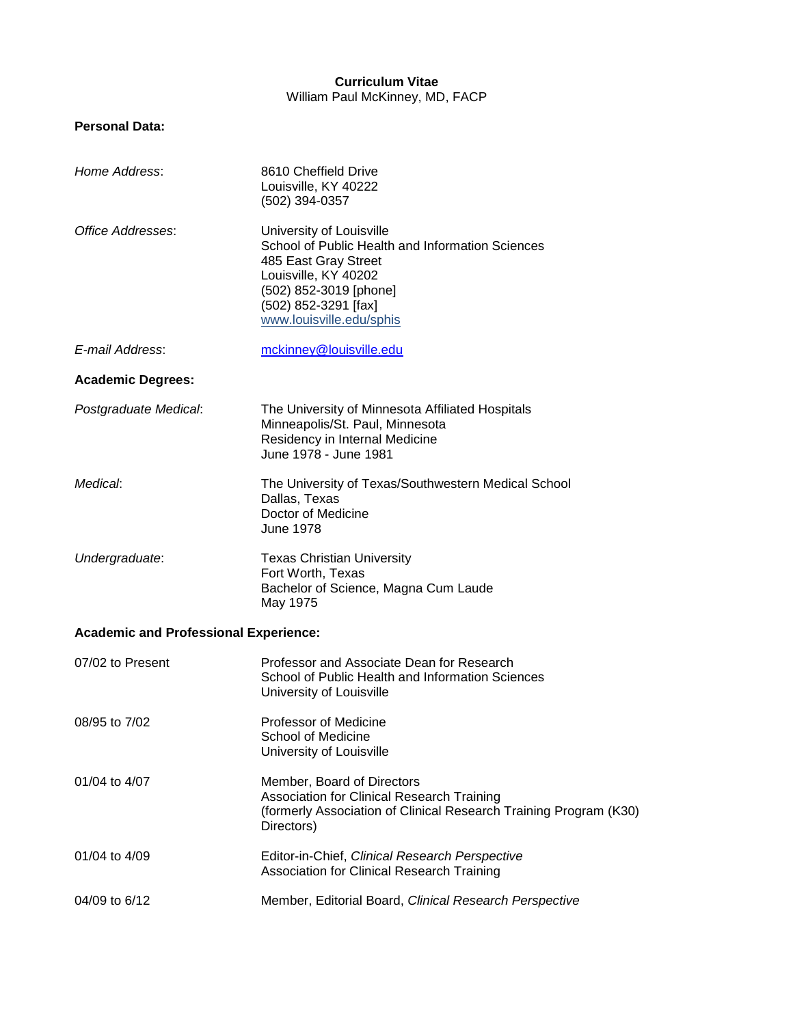# **Curriculum Vitae** William Paul McKinney, MD, FACP

# **Personal Data:**

| Home Address:                                | 8610 Cheffield Drive<br>Louisville, KY 40222<br>(502) 394-0357                                                                                                                                             |  |  |
|----------------------------------------------|------------------------------------------------------------------------------------------------------------------------------------------------------------------------------------------------------------|--|--|
| Office Addresses:                            | University of Louisville<br>School of Public Health and Information Sciences<br>485 East Gray Street<br>Louisville, KY 40202<br>(502) 852-3019 [phone]<br>(502) 852-3291 [fax]<br>www.louisville.edu/sphis |  |  |
| E-mail Address:                              | mckinney@louisville.edu                                                                                                                                                                                    |  |  |
| <b>Academic Degrees:</b>                     |                                                                                                                                                                                                            |  |  |
| Postgraduate Medical:                        | The University of Minnesota Affiliated Hospitals<br>Minneapolis/St. Paul, Minnesota<br>Residency in Internal Medicine<br>June 1978 - June 1981                                                             |  |  |
| Medical:                                     | The University of Texas/Southwestern Medical School<br>Dallas, Texas<br>Doctor of Medicine<br><b>June 1978</b>                                                                                             |  |  |
| Undergraduate:                               | <b>Texas Christian University</b><br>Fort Worth, Texas<br>Bachelor of Science, Magna Cum Laude<br>May 1975                                                                                                 |  |  |
| <b>Academic and Professional Experience:</b> |                                                                                                                                                                                                            |  |  |
| 07/02 to Present                             | Professor and Associate Dean for Research<br>School of Public Health and Information Sciences<br>University of Louisville                                                                                  |  |  |
| 08/95 to 7/02                                | <b>Professor of Medicine</b><br>School of Medicine<br>University of Louisville                                                                                                                             |  |  |
| 01/04 to 4/07                                | Member, Board of Directors<br>Association for Clinical Research Training<br>(formerly Association of Clinical Research Training Program (K30)<br>Directors)                                                |  |  |
| 01/04 to 4/09                                | Editor-in-Chief, Clinical Research Perspective<br>Association for Clinical Research Training                                                                                                               |  |  |
| 04/09 to 6/12                                | Member, Editorial Board, Clinical Research Perspective                                                                                                                                                     |  |  |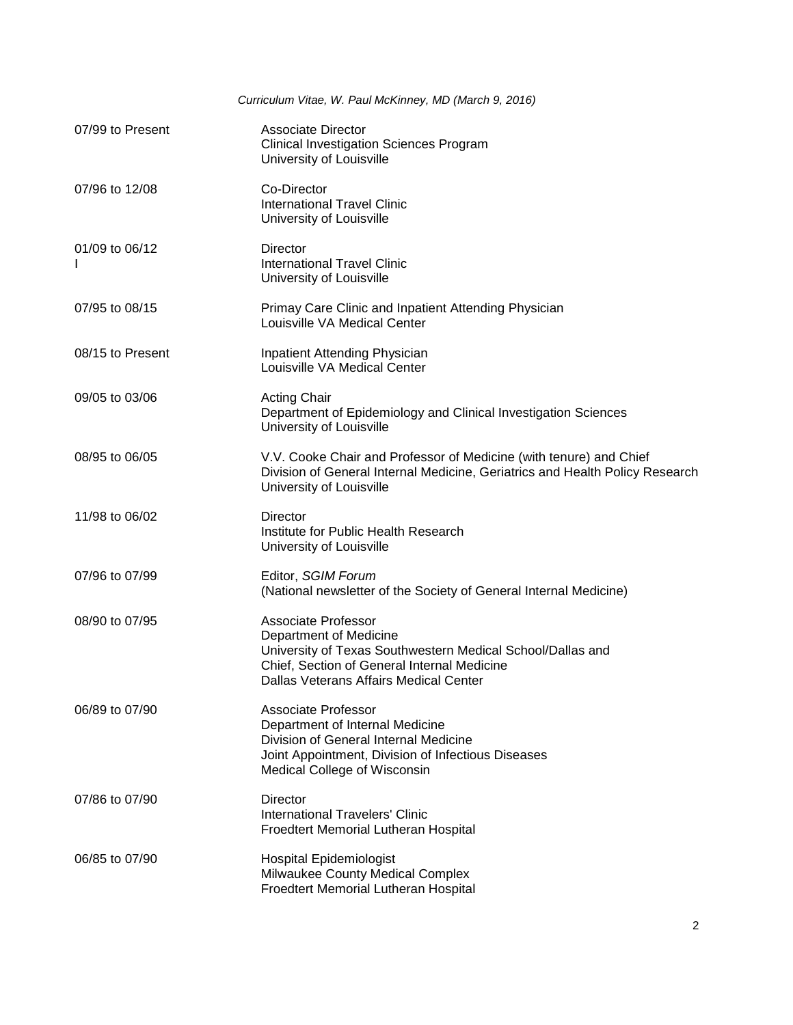|                  | Curriculum Vitae, W. Paul McKinney, MD (March 9, 2016)                                                                                                                                                      |
|------------------|-------------------------------------------------------------------------------------------------------------------------------------------------------------------------------------------------------------|
| 07/99 to Present | <b>Associate Director</b><br><b>Clinical Investigation Sciences Program</b><br>University of Louisville                                                                                                     |
| 07/96 to 12/08   | Co-Director<br><b>International Travel Clinic</b><br>University of Louisville                                                                                                                               |
| 01/09 to 06/12   | Director<br><b>International Travel Clinic</b><br>University of Louisville                                                                                                                                  |
| 07/95 to 08/15   | Primay Care Clinic and Inpatient Attending Physician<br>Louisville VA Medical Center                                                                                                                        |
| 08/15 to Present | Inpatient Attending Physician<br>Louisville VA Medical Center                                                                                                                                               |
| 09/05 to 03/06   | <b>Acting Chair</b><br>Department of Epidemiology and Clinical Investigation Sciences<br>University of Louisville                                                                                           |
| 08/95 to 06/05   | V.V. Cooke Chair and Professor of Medicine (with tenure) and Chief<br>Division of General Internal Medicine, Geriatrics and Health Policy Research<br>University of Louisville                              |
| 11/98 to 06/02   | <b>Director</b><br>Institute for Public Health Research<br>University of Louisville                                                                                                                         |
| 07/96 to 07/99   | Editor, SGIM Forum<br>(National newsletter of the Society of General Internal Medicine)                                                                                                                     |
| 08/90 to 07/95   | <b>Associate Professor</b><br>Department of Medicine<br>University of Texas Southwestern Medical School/Dallas and<br>Chief, Section of General Internal Medicine<br>Dallas Veterans Affairs Medical Center |
| 06/89 to 07/90   | Associate Professor<br>Department of Internal Medicine<br>Division of General Internal Medicine<br>Joint Appointment, Division of Infectious Diseases<br>Medical College of Wisconsin                       |
| 07/86 to 07/90   | <b>Director</b><br>International Travelers' Clinic<br>Froedtert Memorial Lutheran Hospital                                                                                                                  |
| 06/85 to 07/90   | <b>Hospital Epidemiologist</b><br>Milwaukee County Medical Complex<br>Froedtert Memorial Lutheran Hospital                                                                                                  |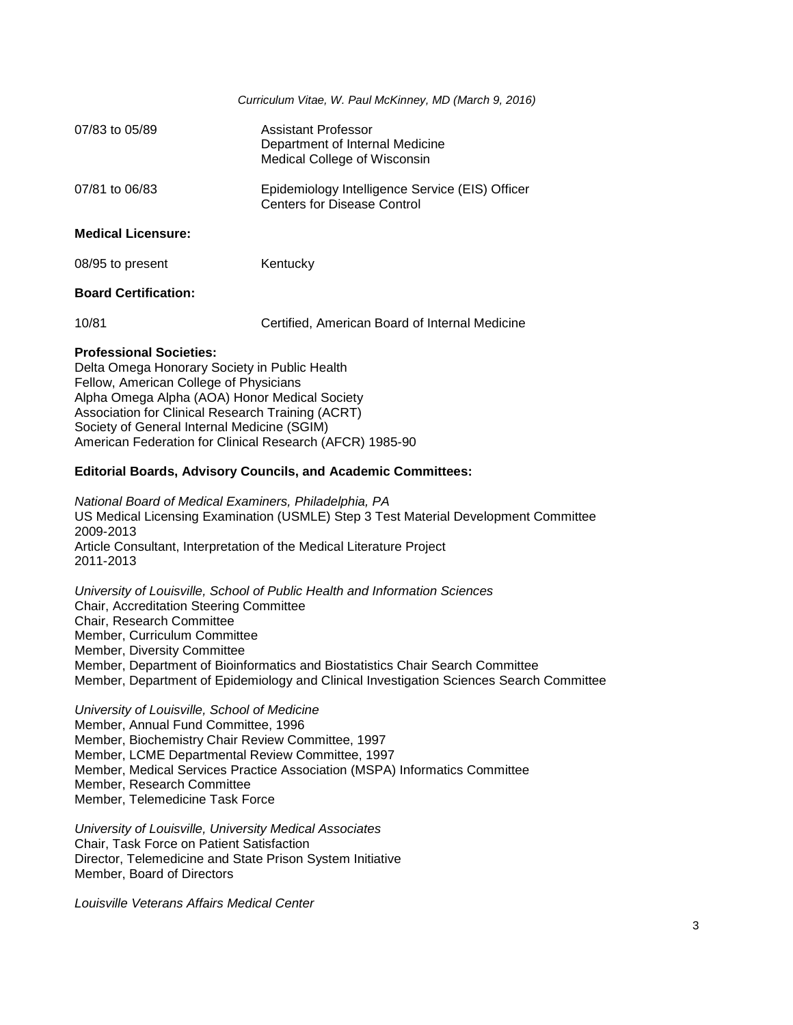|                                                                                 | Curriculum Vitae, W. Paul McKinney, MD (March 9, 2016)                                 |
|---------------------------------------------------------------------------------|----------------------------------------------------------------------------------------|
| 07/83 to 05/89                                                                  | Assistant Professor<br>Department of Internal Medicine<br>Medical College of Wisconsin |
| 07/81 to 06/83                                                                  | Epidemiology Intelligence Service (EIS) Officer<br><b>Centers for Disease Control</b>  |
| <b>Medical Licensure:</b>                                                       |                                                                                        |
| 08/95 to present                                                                | Kentucky                                                                               |
| <b>Board Certification:</b>                                                     |                                                                                        |
| 10/81                                                                           | Certified, American Board of Internal Medicine                                         |
| <b>Professional Societies:</b><br>Delta Omega Honorary Society in Public Health |                                                                                        |

Fellow, American College of Physicians Alpha Omega Alpha (AOA) Honor Medical Society Association for Clinical Research Training (ACRT) Society of General Internal Medicine (SGIM) American Federation for Clinical Research (AFCR) 1985-90

### **Editorial Boards, Advisory Councils, and Academic Committees:**

*National Board of Medical Examiners, Philadelphia, PA* US Medical Licensing Examination (USMLE) Step 3 Test Material Development Committee 2009-2013 Article Consultant, Interpretation of the Medical Literature Project 2011-2013

*University of Louisville, School of Public Health and Information Sciences* Chair, Accreditation Steering Committee Chair, Research Committee Member, Curriculum Committee Member, Diversity Committee Member, Department of Bioinformatics and Biostatistics Chair Search Committee Member, Department of Epidemiology and Clinical Investigation Sciences Search Committee

*University of Louisville, School of Medicine* Member, Annual Fund Committee, 1996 Member, Biochemistry Chair Review Committee, 1997 Member, LCME Departmental Review Committee, 1997 Member, Medical Services Practice Association (MSPA) Informatics Committee Member, Research Committee Member, Telemedicine Task Force

*University of Louisville, University Medical Associates* Chair, Task Force on Patient Satisfaction Director, Telemedicine and State Prison System Initiative Member, Board of Directors

*Louisville Veterans Affairs Medical Center*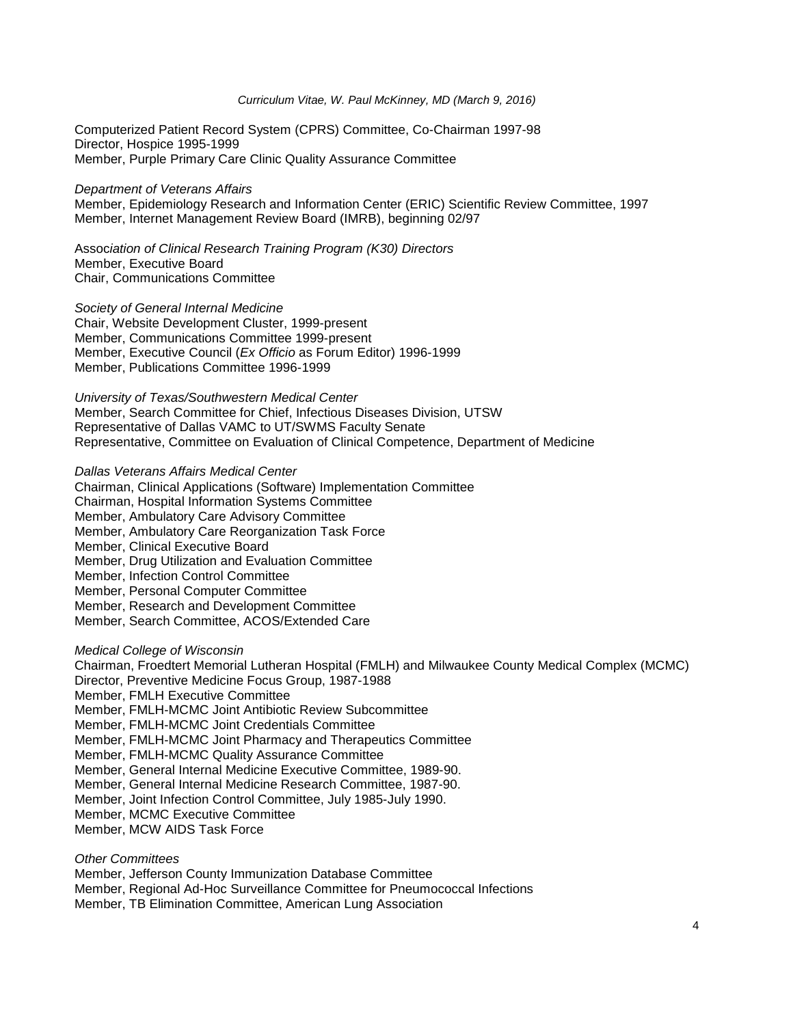Computerized Patient Record System (CPRS) Committee, Co-Chairman 1997-98 Director, Hospice 1995-1999 Member, Purple Primary Care Clinic Quality Assurance Committee

#### *Department of Veterans Affairs*

Member, Epidemiology Research and Information Center (ERIC) Scientific Review Committee, 1997 Member, Internet Management Review Board (IMRB), beginning 02/97

Assoc*iation of Clinical Research Training Program (K30) Directors*  Member, Executive Board Chair, Communications Committee

*Society of General Internal Medicine*

Chair, Website Development Cluster, 1999-present Member, Communications Committee 1999-present Member, Executive Council (*Ex Officio* as Forum Editor) 1996-1999 Member, Publications Committee 1996-1999

#### *University of Texas/Southwestern Medical Center*

Member, Search Committee for Chief, Infectious Diseases Division, UTSW Representative of Dallas VAMC to UT/SWMS Faculty Senate Representative, Committee on Evaluation of Clinical Competence, Department of Medicine

### *Dallas Veterans Affairs Medical Center*

Chairman, Clinical Applications (Software) Implementation Committee Chairman, Hospital Information Systems Committee Member, Ambulatory Care Advisory Committee Member, Ambulatory Care Reorganization Task Force Member, Clinical Executive Board Member, Drug Utilization and Evaluation Committee Member, Infection Control Committee Member, Personal Computer Committee Member, Research and Development Committee Member, Search Committee, ACOS/Extended Care

#### *Medical College of Wisconsin*

Chairman, Froedtert Memorial Lutheran Hospital (FMLH) and Milwaukee County Medical Complex (MCMC) Director, Preventive Medicine Focus Group, 1987-1988 Member, FMLH Executive Committee Member, FMLH-MCMC Joint Antibiotic Review Subcommittee Member, FMLH-MCMC Joint Credentials Committee Member, FMLH-MCMC Joint Pharmacy and Therapeutics Committee Member, FMLH-MCMC Quality Assurance Committee Member, General Internal Medicine Executive Committee, 1989-90. Member, General Internal Medicine Research Committee, 1987-90. Member, Joint Infection Control Committee, July 1985-July 1990. Member, MCMC Executive Committee Member, MCW AIDS Task Force

*Other Committees*

Member, Jefferson County Immunization Database Committee

Member, Regional Ad-Hoc Surveillance Committee for Pneumococcal Infections

Member, TB Elimination Committee, American Lung Association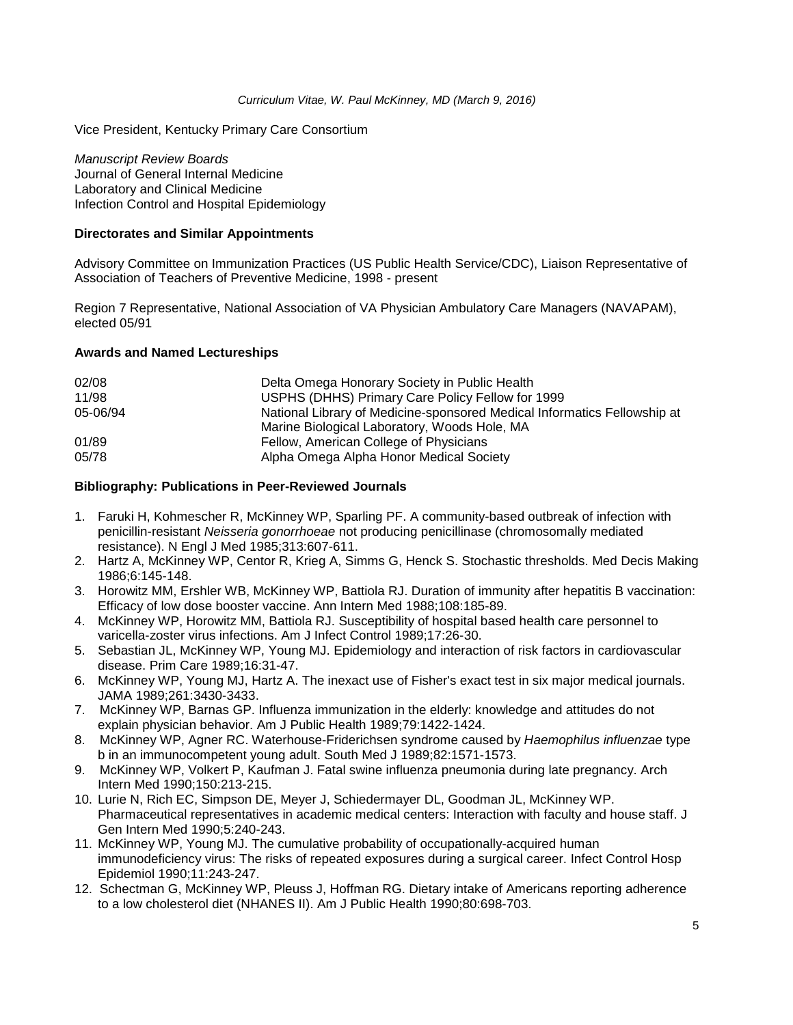Vice President, Kentucky Primary Care Consortium

*Manuscript Review Boards* Journal of General Internal Medicine Laboratory and Clinical Medicine Infection Control and Hospital Epidemiology

# **Directorates and Similar Appointments**

Advisory Committee on Immunization Practices (US Public Health Service/CDC), Liaison Representative of Association of Teachers of Preventive Medicine, 1998 - present

Region 7 Representative, National Association of VA Physician Ambulatory Care Managers (NAVAPAM), elected 05/91

# **Awards and Named Lectureships**

| 02/08    | Delta Omega Honorary Society in Public Health                            |
|----------|--------------------------------------------------------------------------|
| 11/98    | USPHS (DHHS) Primary Care Policy Fellow for 1999                         |
| 05-06/94 | National Library of Medicine-sponsored Medical Informatics Fellowship at |
|          | Marine Biological Laboratory, Woods Hole, MA                             |
| 01/89    | Fellow, American College of Physicians                                   |
| 05/78    | Alpha Omega Alpha Honor Medical Society                                  |

# **Bibliography: Publications in Peer-Reviewed Journals**

- 1. Faruki H, Kohmescher R, McKinney WP, Sparling PF. A community-based outbreak of infection with penicillin-resistant *Neisseria gonorrhoeae* not producing penicillinase (chromosomally mediated resistance). N Engl J Med 1985;313:607-611.
- 2. Hartz A, McKinney WP, Centor R, Krieg A, Simms G, Henck S. Stochastic thresholds. Med Decis Making 1986;6:145-148.
- 3. Horowitz MM, Ershler WB, McKinney WP, Battiola RJ. Duration of immunity after hepatitis B vaccination: Efficacy of low dose booster vaccine. Ann Intern Med 1988;108:185-89.
- 4. McKinney WP, Horowitz MM, Battiola RJ. Susceptibility of hospital based health care personnel to varicella-zoster virus infections. Am J Infect Control 1989;17:26-30.
- 5. Sebastian JL, McKinney WP, Young MJ. Epidemiology and interaction of risk factors in cardiovascular disease. Prim Care 1989;16:31-47.
- 6. McKinney WP, Young MJ, Hartz A. The inexact use of Fisher's exact test in six major medical journals. JAMA 1989;261:3430-3433.
- 7. McKinney WP, Barnas GP. Influenza immunization in the elderly: knowledge and attitudes do not explain physician behavior. Am J Public Health 1989;79:1422-1424.
- 8. McKinney WP, Agner RC. Waterhouse-Friderichsen syndrome caused by *Haemophilus influenzae* type b in an immunocompetent young adult. South Med J 1989;82:1571-1573.
- 9. McKinney WP, Volkert P, Kaufman J. Fatal swine influenza pneumonia during late pregnancy. Arch Intern Med 1990;150:213-215.
- 10. Lurie N, Rich EC, Simpson DE, Meyer J, Schiedermayer DL, Goodman JL, McKinney WP. Pharmaceutical representatives in academic medical centers: Interaction with faculty and house staff. J Gen Intern Med 1990;5:240-243.
- 11. McKinney WP, Young MJ. The cumulative probability of occupationally-acquired human immunodeficiency virus: The risks of repeated exposures during a surgical career. Infect Control Hosp Epidemiol 1990;11:243-247.
- 12. Schectman G, McKinney WP, Pleuss J, Hoffman RG. Dietary intake of Americans reporting adherence to a low cholesterol diet (NHANES II). Am J Public Health 1990;80:698-703.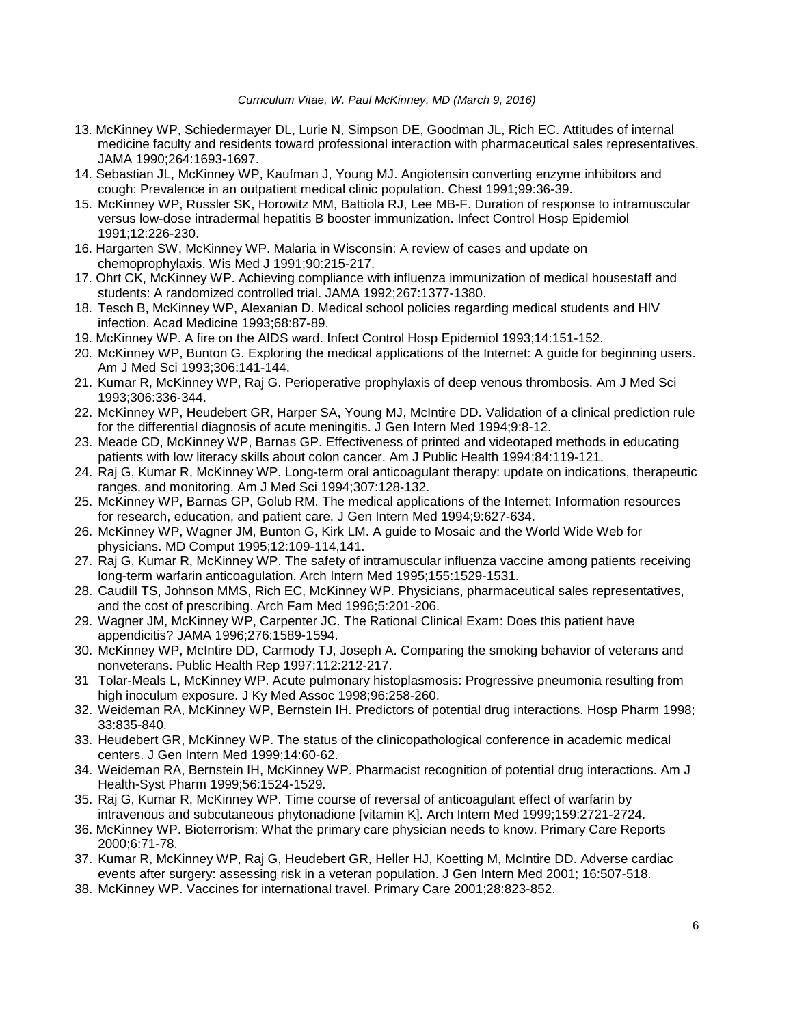- 13. McKinney WP, Schiedermayer DL, Lurie N, Simpson DE, Goodman JL, Rich EC. Attitudes of internal medicine faculty and residents toward professional interaction with pharmaceutical sales representatives. JAMA 1990;264:1693-1697.
- 14. Sebastian JL, McKinney WP, Kaufman J, Young MJ. Angiotensin converting enzyme inhibitors and cough: Prevalence in an outpatient medical clinic population. Chest 1991;99:36-39.
- 15. McKinney WP, Russler SK, Horowitz MM, Battiola RJ, Lee MB-F. Duration of response to intramuscular versus low-dose intradermal hepatitis B booster immunization. Infect Control Hosp Epidemiol 1991;12:226-230.
- 16. Hargarten SW, McKinney WP. Malaria in Wisconsin: A review of cases and update on chemoprophylaxis. Wis Med J 1991;90:215-217.
- 17. Ohrt CK, McKinney WP. Achieving compliance with influenza immunization of medical housestaff and students: A randomized controlled trial. JAMA 1992;267:1377-1380.
- 18. Tesch B, McKinney WP, Alexanian D. Medical school policies regarding medical students and HIV infection. Acad Medicine 1993;68:87-89.
- 19. McKinney WP. A fire on the AIDS ward. Infect Control Hosp Epidemiol 1993;14:151-152.
- 20. McKinney WP, Bunton G. Exploring the medical applications of the Internet: A guide for beginning users. Am J Med Sci 1993;306:141-144.
- 21. Kumar R, McKinney WP, Raj G. Perioperative prophylaxis of deep venous thrombosis. Am J Med Sci 1993;306:336-344.
- 22. McKinney WP, Heudebert GR, Harper SA, Young MJ, McIntire DD. Validation of a clinical prediction rule for the differential diagnosis of acute meningitis. J Gen Intern Med 1994;9:8-12.
- 23. Meade CD, McKinney WP, Barnas GP. Effectiveness of printed and videotaped methods in educating patients with low literacy skills about colon cancer. Am J Public Health 1994;84:119-121.
- 24. Raj G, Kumar R, McKinney WP. Long-term oral anticoagulant therapy: update on indications, therapeutic ranges, and monitoring. Am J Med Sci 1994;307:128-132.
- 25. McKinney WP, Barnas GP, Golub RM. The medical applications of the Internet: Information resources for research, education, and patient care. J Gen Intern Med 1994;9:627-634.
- 26. McKinney WP, Wagner JM, Bunton G, Kirk LM. A guide to Mosaic and the World Wide Web for physicians. MD Comput 1995;12:109-114,141.
- 27. Raj G, Kumar R, McKinney WP. The safety of intramuscular influenza vaccine among patients receiving long-term warfarin anticoagulation. Arch Intern Med 1995;155:1529-1531.
- 28. Caudill TS, Johnson MMS, Rich EC, McKinney WP. Physicians, pharmaceutical sales representatives, and the cost of prescribing. Arch Fam Med 1996;5:201-206.
- 29. Wagner JM, McKinney WP, Carpenter JC. The Rational Clinical Exam: Does this patient have appendicitis? JAMA 1996;276:1589-1594.
- 30. McKinney WP, McIntire DD, Carmody TJ, Joseph A. Comparing the smoking behavior of veterans and nonveterans. Public Health Rep 1997;112:212-217.
- 31 Tolar-Meals L, McKinney WP. Acute pulmonary histoplasmosis: Progressive pneumonia resulting from high inoculum exposure. J Ky Med Assoc 1998;96:258-260.
- 32. Weideman RA, McKinney WP, Bernstein IH. Predictors of potential drug interactions. Hosp Pharm 1998; 33:835-840.
- 33. Heudebert GR, McKinney WP. The status of the clinicopathological conference in academic medical centers. J Gen Intern Med 1999;14:60-62.
- 34. Weideman RA, Bernstein IH, McKinney WP. Pharmacist recognition of potential drug interactions. Am J Health-Syst Pharm 1999;56:1524-1529.
- 35. Raj G, Kumar R, McKinney WP. Time course of reversal of anticoagulant effect of warfarin by intravenous and subcutaneous phytonadione [vitamin K]. Arch Intern Med 1999;159:2721-2724.
- 36. McKinney WP. Bioterrorism: What the primary care physician needs to know. Primary Care Reports 2000;6:71-78.
- 37. Kumar R, McKinney WP, Raj G, Heudebert GR, Heller HJ, Koetting M, McIntire DD. Adverse cardiac events after surgery: assessing risk in a veteran population. J Gen Intern Med 2001; 16:507-518.
- 38. McKinney WP. Vaccines for international travel. Primary Care 2001;28:823-852.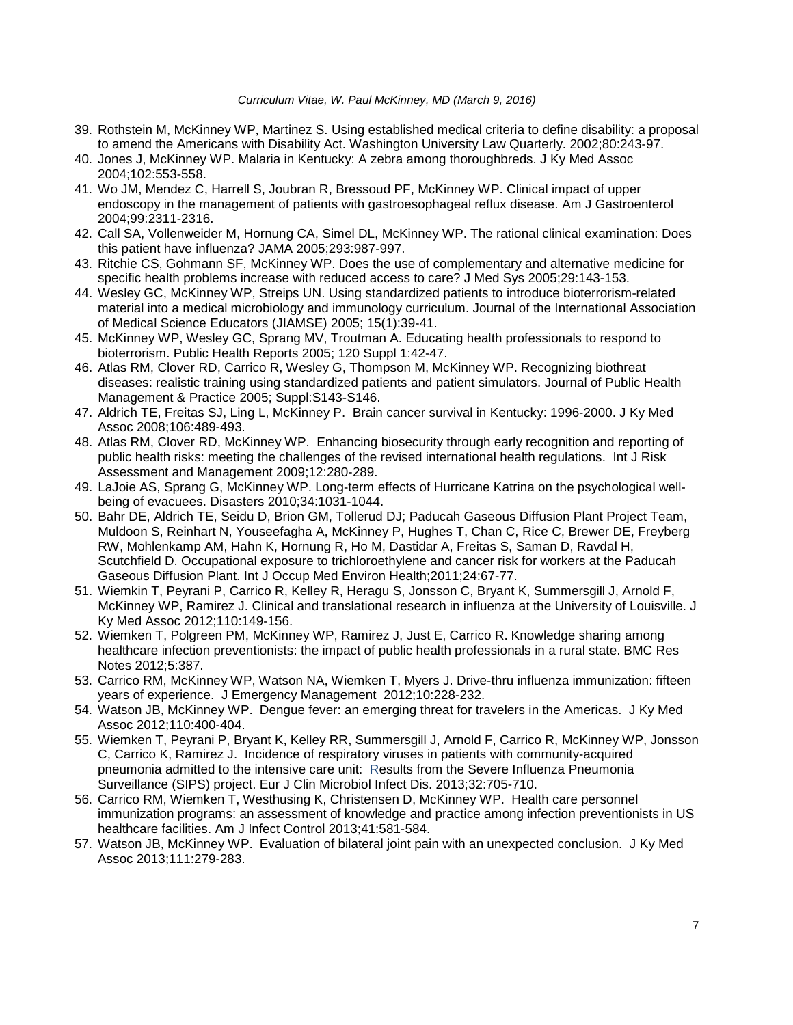- 39. Rothstein M, McKinney WP, Martinez S. Using established medical criteria to define disability: a proposal to amend the Americans with Disability Act. Washington University Law Quarterly. 2002;80:243-97.
- 40. Jones J, McKinney WP. Malaria in Kentucky: A zebra among thoroughbreds. J Ky Med Assoc 2004;102:553-558.
- 41. Wo JM, Mendez C, Harrell S, Joubran R, Bressoud PF, McKinney WP. Clinical impact of upper endoscopy in the management of patients with gastroesophageal reflux disease. Am J Gastroenterol 2004;99:2311-2316.
- 42. Call SA, Vollenweider M, Hornung CA, Simel DL, McKinney WP. The rational clinical examination: Does this patient have influenza? JAMA 2005;293:987-997.
- 43. Ritchie CS, Gohmann SF, McKinney WP. Does the use of complementary and alternative medicine for specific health problems increase with reduced access to care? J Med Sys 2005;29:143-153.
- 44. Wesley GC, McKinney WP, Streips UN. Using standardized patients to introduce bioterrorism-related material into a medical microbiology and immunology curriculum. Journal of the International Association of Medical Science Educators (JIAMSE) 2005; 15(1):39-41.
- 45. McKinney WP, Wesley GC, Sprang MV, Troutman A. Educating health professionals to respond to bioterrorism. Public Health Reports 2005; 120 Suppl 1:42-47.
- 46. Atlas RM, Clover RD, Carrico R, Wesley G, Thompson M, McKinney WP. Recognizing biothreat diseases: realistic training using standardized patients and patient simulators. Journal of Public Health Management & Practice 2005; Suppl:S143-S146.
- 47. Aldrich TE, Freitas SJ, Ling L, McKinney P. Brain cancer survival in Kentucky: 1996-2000. J Ky Med Assoc 2008;106:489-493.
- 48. Atlas RM, Clover RD, McKinney WP. Enhancing biosecurity through early recognition and reporting of public health risks: meeting the challenges of the revised international health regulations. Int J Risk Assessment and Management 2009;12:280-289.
- 49. LaJoie AS, Sprang G, McKinney WP. Long-term effects of Hurricane Katrina on the psychological wellbeing of evacuees. Disasters 2010;34:1031-1044.
- 50. Bahr DE, Aldrich TE, Seidu D, Brion GM, Tollerud DJ; Paducah Gaseous Diffusion Plant Project Team, Muldoon S, Reinhart N, Youseefagha A, McKinney P, Hughes T, Chan C, Rice C, Brewer DE, Freyberg RW, Mohlenkamp AM, Hahn K, Hornung R, Ho M, Dastidar A, Freitas S, Saman D, Ravdal H, Scutchfield D. [Occupational exposure to trichloroethylene and cancer risk for workers at the Paducah](http://www.ncbi.nlm.nih.gov/pubmed/21468904)  [Gaseous Diffusion Plant.](http://www.ncbi.nlm.nih.gov/pubmed/21468904) Int J Occup Med Environ Health;2011;24:67-77.
- 51. Wiemkin T, Peyrani P, Carrico R, Kelley R, Heragu S, Jonsson C, Bryant K, Summersgill J, Arnold F, McKinney WP, Ramirez J. Clinical and translational research in influenza at the University of Louisville. J Ky Med Assoc 2012;110:149-156.
- 52. Wiemken T, Polgreen PM, McKinney WP, Ramirez J, Just E, Carrico R. [Knowledge](http://www.ncbi.nlm.nih.gov/pubmed/22838734) sharing among healthcare infection [preventionists:](http://www.ncbi.nlm.nih.gov/pubmed/22838734) the impact of public health professionals in a rural state. BMC Res Notes 2012;5:387.
- 53. Carrico RM, McKinney WP, Watson NA, Wiemken T, Myers J. Drive-thru influenza immunization: fifteen years of experience. J Emergency Management 2012;10:228-232.
- 54. Watson JB, McKinney WP. Dengue fever: an emerging threat for travelers in the Americas. J Ky Med Assoc 2012;110:400-404.
- 55. Wiemken T, Peyrani P, Bryant K, Kelley RR, Summersgill J, Arnold F, Carrico R, McKinney WP, Jonsson C, Carrico K, Ramirez J. Incidence of respiratory viruses in patients with [community-acquired](http://www.ncbi.nlm.nih.gov/pubmed/23274861) pneumonia admitted to the intensive care unit: Results from the Severe Influenza [Pneumonia](http://www.ncbi.nlm.nih.gov/pubmed/23274861) [Surveillance](http://www.ncbi.nlm.nih.gov/pubmed/23274861) (SIPS) project. Eur J Clin Microbiol Infect Dis. 2013;32:705-710.
- 56. Carrico RM, Wiemken T, Westhusing K, Christensen D, McKinney WP. Health care personnel immunization programs: an assessment of knowledge and practice among infection preventionists in US healthcare facilities. Am J Infect Control 2013;41:581-584.
- 57. Watson JB, McKinney WP. Evaluation of bilateral joint pain with an unexpected conclusion. J Ky Med Assoc 2013;111:279-283.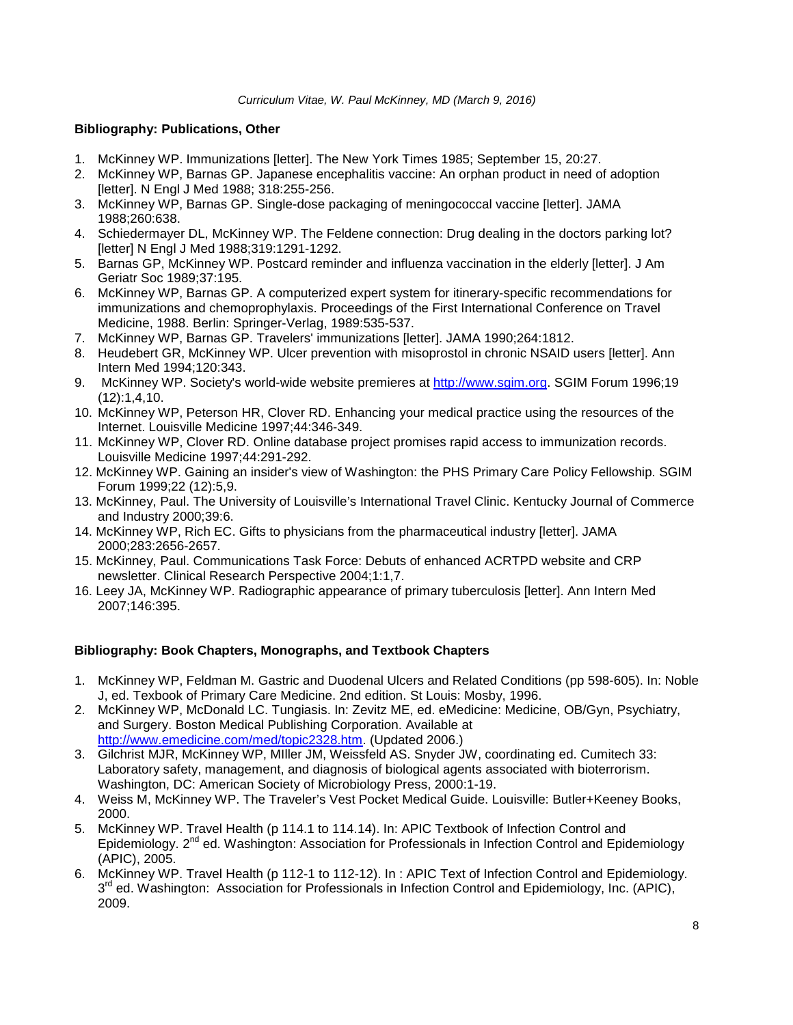# **Bibliography: Publications, Other**

- 1. McKinney WP. Immunizations [letter]. The New York Times 1985; September 15, 20:27.
- 2. McKinney WP, Barnas GP. Japanese encephalitis vaccine: An orphan product in need of adoption [letter]. N Engl J Med 1988; 318:255-256.
- 3. McKinney WP, Barnas GP. Single-dose packaging of meningococcal vaccine [letter]. JAMA 1988;260:638.
- 4. Schiedermayer DL, McKinney WP. The Feldene connection: Drug dealing in the doctors parking lot? [letter] N Engl J Med 1988;319:1291-1292.
- 5. Barnas GP, McKinney WP. Postcard reminder and influenza vaccination in the elderly [letter]. J Am Geriatr Soc 1989;37:195.
- 6. McKinney WP, Barnas GP. A computerized expert system for itinerary-specific recommendations for immunizations and chemoprophylaxis. Proceedings of the First International Conference on Travel Medicine, 1988. Berlin: Springer-Verlag, 1989:535-537.
- 7. McKinney WP, Barnas GP. Travelers' immunizations [letter]. JAMA 1990;264:1812.
- 8. Heudebert GR, McKinney WP. Ulcer prevention with misoprostol in chronic NSAID users [letter]. Ann Intern Med 1994;120:343.
- 9. McKinney WP. Society's world-wide website premieres at [http://www.sgim.org.](http://www.sgim.org/) SGIM Forum 1996;19 (12):1,4,10.
- 10. McKinney WP, Peterson HR, Clover RD. Enhancing your medical practice using the resources of the Internet. Louisville Medicine 1997;44:346-349.
- 11. McKinney WP, Clover RD. Online database project promises rapid access to immunization records. Louisville Medicine 1997;44:291-292.
- 12. McKinney WP. Gaining an insider's view of Washington: the PHS Primary Care Policy Fellowship. SGIM Forum 1999;22 (12):5,9.
- 13. McKinney, Paul. The University of Louisville's International Travel Clinic. Kentucky Journal of Commerce and Industry 2000;39:6.
- 14. McKinney WP, Rich EC. Gifts to physicians from the pharmaceutical industry [letter]. JAMA 2000;283:2656-2657.
- 15. McKinney, Paul. Communications Task Force: Debuts of enhanced ACRTPD website and CRP newsletter. Clinical Research Perspective 2004;1:1,7.
- 16. [Leey JA, McKinney WP.](http://www.ncbi.nlm.nih.gov/pubmed/17339629?ordinalpos=1&itool=EntrezSystem2.PEntrez.Pubmed.Pubmed_ResultsPanel.Pubmed_RVDocSum) Radiographic appearance of primary tuberculosis [letter]. Ann Intern Med 2007;146:395.

### **Bibliography: Book Chapters, Monographs, and Textbook Chapters**

- 1. McKinney WP, Feldman M. Gastric and Duodenal Ulcers and Related Conditions (pp 598-605). In: Noble J, ed. Texbook of Primary Care Medicine. 2nd edition. St Louis: Mosby, 1996.
- 2. McKinney WP, McDonald LC. Tungiasis. In: Zevitz ME, ed. eMedicine: Medicine, OB/Gyn, Psychiatry, and Surgery. Boston Medical Publishing Corporation. Available at [http://www.emedicine.com/med/topic2328.htm.](http://www.emedicine.com/) (Updated 2006.)
- 3. Gilchrist MJR, McKinney WP, MIller JM, Weissfeld AS. Snyder JW, coordinating ed. Cumitech 33: Laboratory safety, management, and diagnosis of biological agents associated with bioterrorism. Washington, DC: American Society of Microbiology Press, 2000:1-19.
- 4. Weiss M, McKinney WP. The Traveler's Vest Pocket Medical Guide. Louisville: Butler+Keeney Books, 2000.
- 5. McKinney WP. Travel Health (p 114.1 to 114.14). In: APIC Textbook of Infection Control and Epidemiology. 2<sup>nd</sup> ed. Washington: Association for Professionals in Infection Control and Epidemiology (APIC), 2005.
- 6. McKinney WP. Travel Health (p 112-1 to 112-12). In : APIC Text of Infection Control and Epidemiology.  $3<sup>rd</sup>$  ed. Washington: Association for Professionals in Infection Control and Epidemiology, Inc. (APIC), 2009.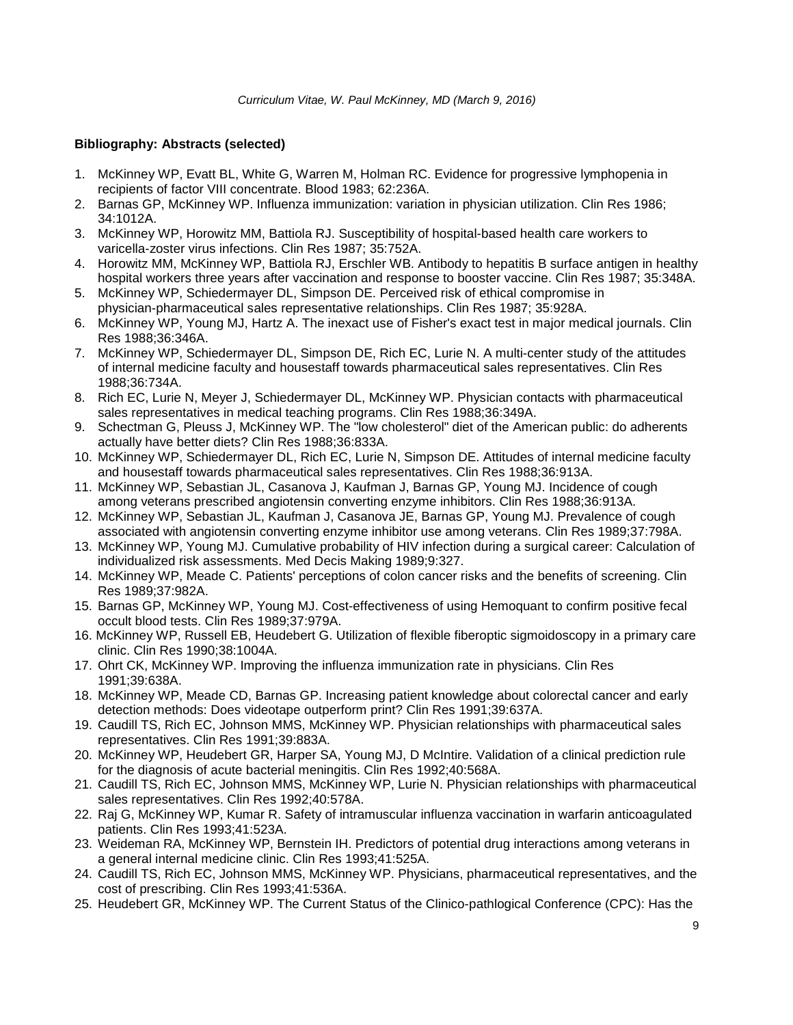# **Bibliography: Abstracts (selected)**

- 1. McKinney WP, Evatt BL, White G, Warren M, Holman RC. Evidence for progressive lymphopenia in recipients of factor VIII concentrate. Blood 1983; 62:236A.
- 2. Barnas GP, McKinney WP. Influenza immunization: variation in physician utilization. Clin Res 1986; 34:1012A.
- 3. McKinney WP, Horowitz MM, Battiola RJ. Susceptibility of hospital-based health care workers to varicella-zoster virus infections. Clin Res 1987; 35:752A.
- 4. Horowitz MM, McKinney WP, Battiola RJ, Erschler WB. Antibody to hepatitis B surface antigen in healthy hospital workers three years after vaccination and response to booster vaccine. Clin Res 1987; 35:348A.
- 5. McKinney WP, Schiedermayer DL, Simpson DE. Perceived risk of ethical compromise in physician-pharmaceutical sales representative relationships. Clin Res 1987; 35:928A.
- 6. McKinney WP, Young MJ, Hartz A. The inexact use of Fisher's exact test in major medical journals. Clin Res 1988;36:346A.
- 7. McKinney WP, Schiedermayer DL, Simpson DE, Rich EC, Lurie N. A multi-center study of the attitudes of internal medicine faculty and housestaff towards pharmaceutical sales representatives. Clin Res 1988;36:734A.
- 8. Rich EC, Lurie N, Meyer J, Schiedermayer DL, McKinney WP. Physician contacts with pharmaceutical sales representatives in medical teaching programs. Clin Res 1988;36:349A.
- 9. Schectman G, Pleuss J, McKinney WP. The "low cholesterol" diet of the American public: do adherents actually have better diets? Clin Res 1988;36:833A.
- 10. McKinney WP, Schiedermayer DL, Rich EC, Lurie N, Simpson DE. Attitudes of internal medicine faculty and housestaff towards pharmaceutical sales representatives. Clin Res 1988;36:913A.
- 11. McKinney WP, Sebastian JL, Casanova J, Kaufman J, Barnas GP, Young MJ. Incidence of cough among veterans prescribed angiotensin converting enzyme inhibitors. Clin Res 1988;36:913A.
- 12. McKinney WP, Sebastian JL, Kaufman J, Casanova JE, Barnas GP, Young MJ. Prevalence of cough associated with angiotensin converting enzyme inhibitor use among veterans. Clin Res 1989;37:798A.
- 13. McKinney WP, Young MJ. Cumulative probability of HIV infection during a surgical career: Calculation of individualized risk assessments. Med Decis Making 1989;9:327.
- 14. McKinney WP, Meade C. Patients' perceptions of colon cancer risks and the benefits of screening. Clin Res 1989;37:982A.
- 15. Barnas GP, McKinney WP, Young MJ. Cost-effectiveness of using Hemoquant to confirm positive fecal occult blood tests. Clin Res 1989;37:979A.
- 16. McKinney WP, Russell EB, Heudebert G. Utilization of flexible fiberoptic sigmoidoscopy in a primary care clinic. Clin Res 1990;38:1004A.
- 17. Ohrt CK, McKinney WP. Improving the influenza immunization rate in physicians. Clin Res 1991;39:638A.
- 18. McKinney WP, Meade CD, Barnas GP. Increasing patient knowledge about colorectal cancer and early detection methods: Does videotape outperform print? Clin Res 1991;39:637A.
- 19. Caudill TS, Rich EC, Johnson MMS, McKinney WP. Physician relationships with pharmaceutical sales representatives. Clin Res 1991;39:883A.
- 20. McKinney WP, Heudebert GR, Harper SA, Young MJ, D McIntire. Validation of a clinical prediction rule for the diagnosis of acute bacterial meningitis. Clin Res 1992;40:568A.
- 21. Caudill TS, Rich EC, Johnson MMS, McKinney WP, Lurie N. Physician relationships with pharmaceutical sales representatives. Clin Res 1992;40:578A.
- 22. Raj G, McKinney WP, Kumar R. Safety of intramuscular influenza vaccination in warfarin anticoagulated patients. Clin Res 1993;41:523A.
- 23. Weideman RA, McKinney WP, Bernstein IH. Predictors of potential drug interactions among veterans in a general internal medicine clinic. Clin Res 1993;41:525A.
- 24. Caudill TS, Rich EC, Johnson MMS, McKinney WP. Physicians, pharmaceutical representatives, and the cost of prescribing. Clin Res 1993;41:536A.
- 25. Heudebert GR, McKinney WP. The Current Status of the Clinico-pathlogical Conference (CPC): Has the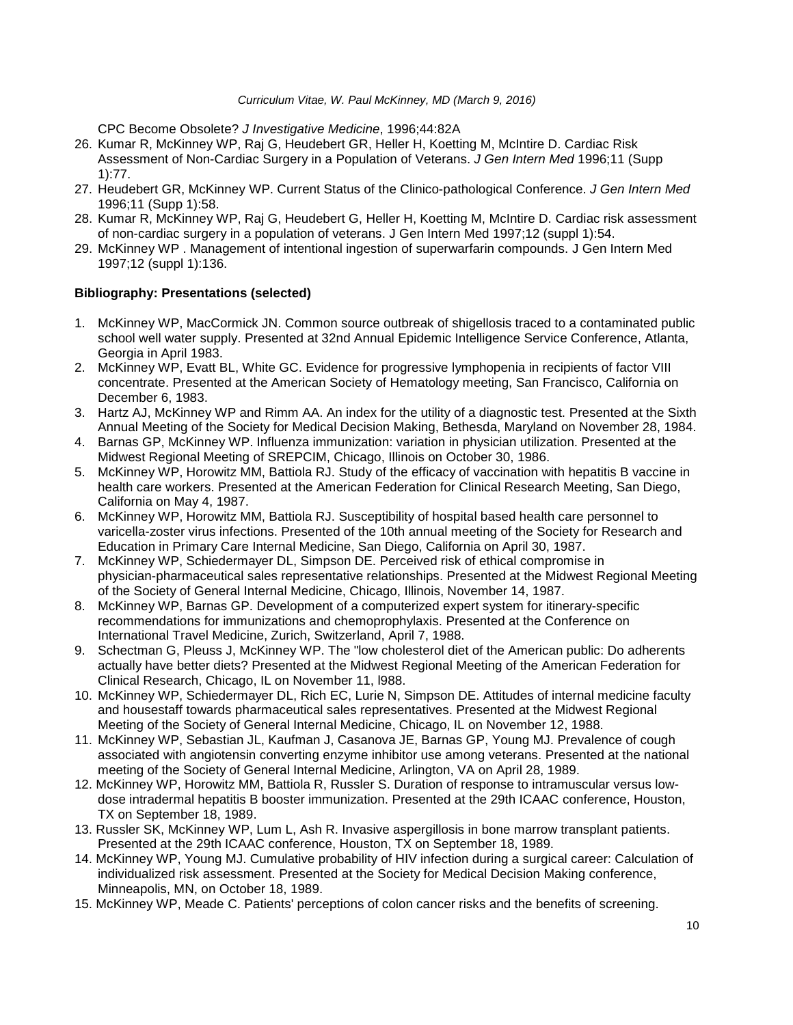CPC Become Obsolete? *J Investigative Medicine*, 1996;44:82A

- 26. Kumar R, McKinney WP, Raj G, Heudebert GR, Heller H, Koetting M, McIntire D. Cardiac Risk Assessment of Non-Cardiac Surgery in a Population of Veterans. *J Gen Intern Med* 1996;11 (Supp 1):77.
- 27. Heudebert GR, McKinney WP. Current Status of the Clinico-pathological Conference. *J Gen Intern Med* 1996;11 (Supp 1):58.
- 28. Kumar R, McKinney WP, Raj G, Heudebert G, Heller H, Koetting M, McIntire D. Cardiac risk assessment of non-cardiac surgery in a population of veterans. J Gen Intern Med 1997;12 (suppl 1):54.
- 29. McKinney WP . Management of intentional ingestion of superwarfarin compounds. J Gen Intern Med 1997;12 (suppl 1):136.

### **Bibliography: Presentations (selected)**

- 1. McKinney WP, MacCormick JN. Common source outbreak of shigellosis traced to a contaminated public school well water supply. Presented at 32nd Annual Epidemic Intelligence Service Conference, Atlanta, Georgia in April 1983.
- 2. McKinney WP, Evatt BL, White GC. Evidence for progressive lymphopenia in recipients of factor VIII concentrate. Presented at the American Society of Hematology meeting, San Francisco, California on December 6, 1983.
- 3. Hartz AJ, McKinney WP and Rimm AA. An index for the utility of a diagnostic test. Presented at the Sixth Annual Meeting of the Society for Medical Decision Making, Bethesda, Maryland on November 28, 1984.
- 4. Barnas GP, McKinney WP. Influenza immunization: variation in physician utilization. Presented at the Midwest Regional Meeting of SREPCIM, Chicago, Illinois on October 30, 1986.
- 5. McKinney WP, Horowitz MM, Battiola RJ. Study of the efficacy of vaccination with hepatitis B vaccine in health care workers. Presented at the American Federation for Clinical Research Meeting, San Diego, California on May 4, 1987.
- 6. McKinney WP, Horowitz MM, Battiola RJ. Susceptibility of hospital based health care personnel to varicella-zoster virus infections. Presented of the 10th annual meeting of the Society for Research and Education in Primary Care Internal Medicine, San Diego, California on April 30, 1987.
- 7. McKinney WP, Schiedermayer DL, Simpson DE. Perceived risk of ethical compromise in physician-pharmaceutical sales representative relationships. Presented at the Midwest Regional Meeting of the Society of General Internal Medicine, Chicago, Illinois, November 14, 1987.
- 8. McKinney WP, Barnas GP. Development of a computerized expert system for itinerary-specific recommendations for immunizations and chemoprophylaxis. Presented at the Conference on International Travel Medicine, Zurich, Switzerland, April 7, 1988.
- 9. Schectman G, Pleuss J, McKinney WP. The "low cholesterol diet of the American public: Do adherents actually have better diets? Presented at the Midwest Regional Meeting of the American Federation for Clinical Research, Chicago, IL on November 11, l988.
- 10. McKinney WP, Schiedermayer DL, Rich EC, Lurie N, Simpson DE. Attitudes of internal medicine faculty and housestaff towards pharmaceutical sales representatives. Presented at the Midwest Regional Meeting of the Society of General Internal Medicine, Chicago, IL on November 12, 1988.
- 11. McKinney WP, Sebastian JL, Kaufman J, Casanova JE, Barnas GP, Young MJ. Prevalence of cough associated with angiotensin converting enzyme inhibitor use among veterans. Presented at the national meeting of the Society of General Internal Medicine, Arlington, VA on April 28, 1989.
- 12. McKinney WP, Horowitz MM, Battiola R, Russler S. Duration of response to intramuscular versus lowdose intradermal hepatitis B booster immunization. Presented at the 29th ICAAC conference, Houston, TX on September 18, 1989.
- 13. Russler SK, McKinney WP, Lum L, Ash R. Invasive aspergillosis in bone marrow transplant patients. Presented at the 29th ICAAC conference, Houston, TX on September 18, 1989.
- 14. McKinney WP, Young MJ. Cumulative probability of HIV infection during a surgical career: Calculation of individualized risk assessment. Presented at the Society for Medical Decision Making conference, Minneapolis, MN, on October 18, 1989.
- 15. McKinney WP, Meade C. Patients' perceptions of colon cancer risks and the benefits of screening.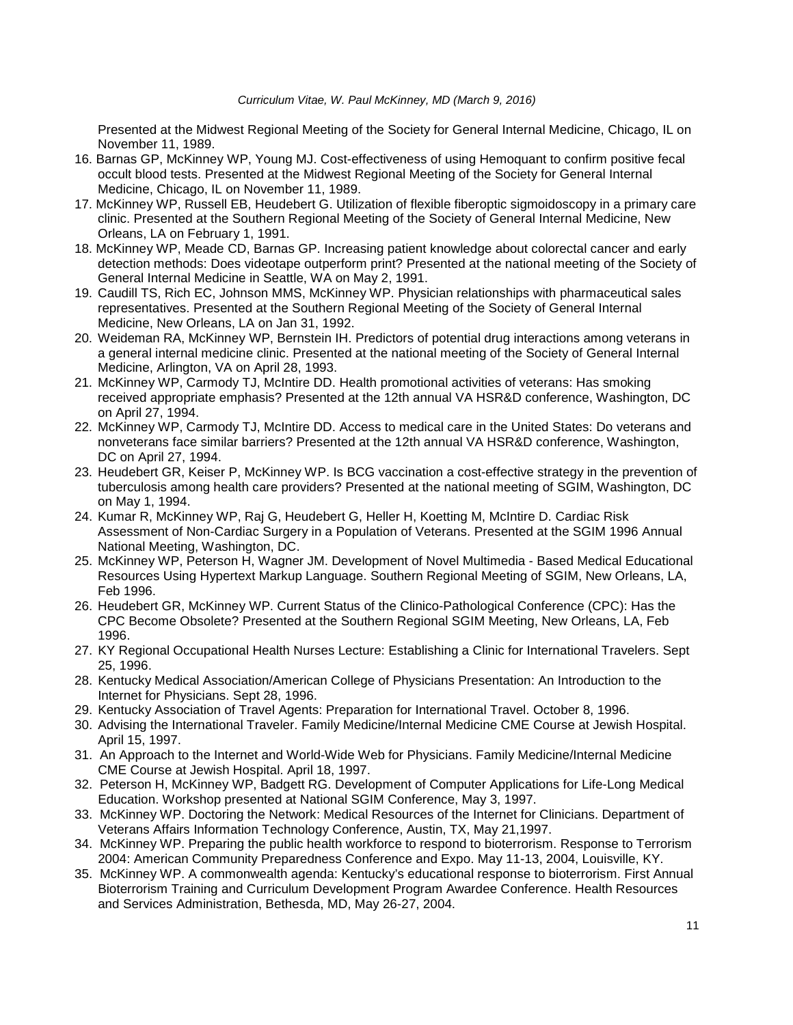Presented at the Midwest Regional Meeting of the Society for General Internal Medicine, Chicago, IL on November 11, 1989.

- 16. Barnas GP, McKinney WP, Young MJ. Cost-effectiveness of using Hemoquant to confirm positive fecal occult blood tests. Presented at the Midwest Regional Meeting of the Society for General Internal Medicine, Chicago, IL on November 11, 1989.
- 17. McKinney WP, Russell EB, Heudebert G. Utilization of flexible fiberoptic sigmoidoscopy in a primary care clinic. Presented at the Southern Regional Meeting of the Society of General Internal Medicine, New Orleans, LA on February 1, 1991.
- 18. McKinney WP, Meade CD, Barnas GP. Increasing patient knowledge about colorectal cancer and early detection methods: Does videotape outperform print? Presented at the national meeting of the Society of General Internal Medicine in Seattle, WA on May 2, 1991.
- 19. Caudill TS, Rich EC, Johnson MMS, McKinney WP. Physician relationships with pharmaceutical sales representatives. Presented at the Southern Regional Meeting of the Society of General Internal Medicine, New Orleans, LA on Jan 31, 1992.
- 20. Weideman RA, McKinney WP, Bernstein IH. Predictors of potential drug interactions among veterans in a general internal medicine clinic. Presented at the national meeting of the Society of General Internal Medicine, Arlington, VA on April 28, 1993.
- 21. McKinney WP, Carmody TJ, McIntire DD. Health promotional activities of veterans: Has smoking received appropriate emphasis? Presented at the 12th annual VA HSR&D conference, Washington, DC on April 27, 1994.
- 22. McKinney WP, Carmody TJ, McIntire DD. Access to medical care in the United States: Do veterans and nonveterans face similar barriers? Presented at the 12th annual VA HSR&D conference, Washington, DC on April 27, 1994.
- 23. Heudebert GR, Keiser P, McKinney WP. Is BCG vaccination a cost-effective strategy in the prevention of tuberculosis among health care providers? Presented at the national meeting of SGIM, Washington, DC on May 1, 1994.
- 24. Kumar R, McKinney WP, Raj G, Heudebert G, Heller H, Koetting M, McIntire D. Cardiac Risk Assessment of Non-Cardiac Surgery in a Population of Veterans. Presented at the SGIM 1996 Annual National Meeting, Washington, DC.
- 25. McKinney WP, Peterson H, Wagner JM. Development of Novel Multimedia Based Medical Educational Resources Using Hypertext Markup Language. Southern Regional Meeting of SGIM, New Orleans, LA, Feb 1996.
- 26. Heudebert GR, McKinney WP. Current Status of the Clinico-Pathological Conference (CPC): Has the CPC Become Obsolete? Presented at the Southern Regional SGIM Meeting, New Orleans, LA, Feb 1996.
- 27. KY Regional Occupational Health Nurses Lecture: Establishing a Clinic for International Travelers. Sept 25, 1996.
- 28. Kentucky Medical Association/American College of Physicians Presentation: An Introduction to the Internet for Physicians. Sept 28, 1996.
- 29. Kentucky Association of Travel Agents: Preparation for International Travel. October 8, 1996.
- 30. Advising the International Traveler. Family Medicine/Internal Medicine CME Course at Jewish Hospital. April 15, 1997.
- 31. An Approach to the Internet and World-Wide Web for Physicians. Family Medicine/Internal Medicine CME Course at Jewish Hospital. April 18, 1997.
- 32. Peterson H, McKinney WP, Badgett RG. Development of Computer Applications for Life-Long Medical Education. Workshop presented at National SGIM Conference, May 3, 1997.
- 33. McKinney WP. Doctoring the Network: Medical Resources of the Internet for Clinicians. Department of Veterans Affairs Information Technology Conference, Austin, TX, May 21,1997.
- 34. McKinney WP. Preparing the public health workforce to respond to bioterrorism. Response to Terrorism 2004: American Community Preparedness Conference and Expo. May 11-13, 2004, Louisville, KY.
- 35. McKinney WP. A commonwealth agenda: Kentucky's educational response to bioterrorism. First Annual Bioterrorism Training and Curriculum Development Program Awardee Conference. Health Resources and Services Administration, Bethesda, MD, May 26-27, 2004.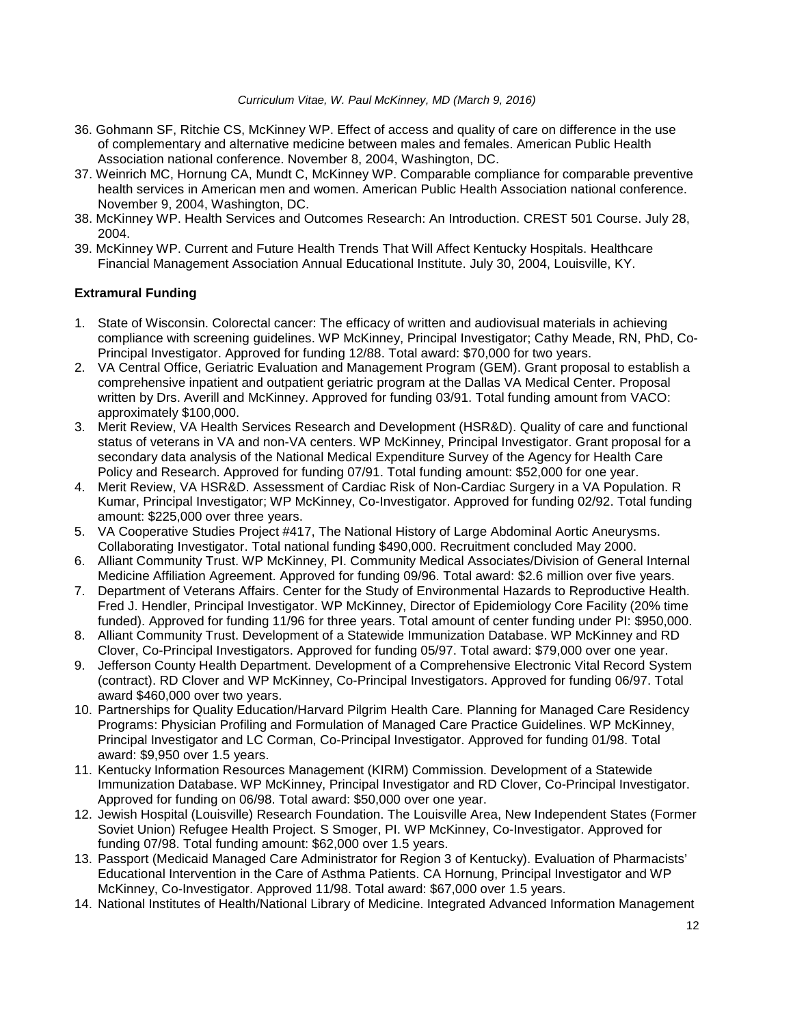- 36. Gohmann SF, Ritchie CS, McKinney WP. Effect of access and quality of care on difference in the use of complementary and alternative medicine between males and females. American Public Health Association national conference. November 8, 2004, Washington, DC.
- 37. Weinrich MC, Hornung CA, Mundt C, McKinney WP. Comparable compliance for comparable preventive health services in American men and women. American Public Health Association national conference. November 9, 2004, Washington, DC.
- 38. McKinney WP. Health Services and Outcomes Research: An Introduction. CREST 501 Course. July 28, 2004.
- 39. McKinney WP. Current and Future Health Trends That Will Affect Kentucky Hospitals. Healthcare Financial Management Association Annual Educational Institute. July 30, 2004, Louisville, KY.

# **Extramural Funding**

- 1. State of Wisconsin. Colorectal cancer: The efficacy of written and audiovisual materials in achieving compliance with screening guidelines. WP McKinney, Principal Investigator; Cathy Meade, RN, PhD, Co-Principal Investigator. Approved for funding 12/88. Total award: \$70,000 for two years.
- 2. VA Central Office, Geriatric Evaluation and Management Program (GEM). Grant proposal to establish a comprehensive inpatient and outpatient geriatric program at the Dallas VA Medical Center. Proposal written by Drs. Averill and McKinney. Approved for funding 03/91. Total funding amount from VACO: approximately \$100,000.
- 3. Merit Review, VA Health Services Research and Development (HSR&D). Quality of care and functional status of veterans in VA and non-VA centers. WP McKinney, Principal Investigator. Grant proposal for a secondary data analysis of the National Medical Expenditure Survey of the Agency for Health Care Policy and Research. Approved for funding 07/91. Total funding amount: \$52,000 for one year.
- 4. Merit Review, VA HSR&D. Assessment of Cardiac Risk of Non-Cardiac Surgery in a VA Population. R Kumar, Principal Investigator; WP McKinney, Co-Investigator. Approved for funding 02/92. Total funding amount: \$225,000 over three years.
- 5. VA Cooperative Studies Project #417, The National History of Large Abdominal Aortic Aneurysms. Collaborating Investigator. Total national funding \$490,000. Recruitment concluded May 2000.
- 6. Alliant Community Trust. WP McKinney, PI. Community Medical Associates/Division of General Internal Medicine Affiliation Agreement. Approved for funding 09/96. Total award: \$2.6 million over five years.
- 7. Department of Veterans Affairs. Center for the Study of Environmental Hazards to Reproductive Health. Fred J. Hendler, Principal Investigator. WP McKinney, Director of Epidemiology Core Facility (20% time funded). Approved for funding 11/96 for three years. Total amount of center funding under PI: \$950,000.
- 8. Alliant Community Trust. Development of a Statewide Immunization Database. WP McKinney and RD Clover, Co-Principal Investigators. Approved for funding 05/97. Total award: \$79,000 over one year.
- 9. Jefferson County Health Department. Development of a Comprehensive Electronic Vital Record System (contract). RD Clover and WP McKinney, Co-Principal Investigators. Approved for funding 06/97. Total award \$460,000 over two years.
- 10. Partnerships for Quality Education/Harvard Pilgrim Health Care. Planning for Managed Care Residency Programs: Physician Profiling and Formulation of Managed Care Practice Guidelines. WP McKinney, Principal Investigator and LC Corman, Co-Principal Investigator. Approved for funding 01/98. Total award: \$9,950 over 1.5 years.
- 11. Kentucky Information Resources Management (KIRM) Commission. Development of a Statewide Immunization Database. WP McKinney, Principal Investigator and RD Clover, Co-Principal Investigator. Approved for funding on 06/98. Total award: \$50,000 over one year.
- 12. Jewish Hospital (Louisville) Research Foundation. The Louisville Area, New Independent States (Former Soviet Union) Refugee Health Project. S Smoger, PI. WP McKinney, Co-Investigator. Approved for funding 07/98. Total funding amount: \$62,000 over 1.5 years.
- 13. Passport (Medicaid Managed Care Administrator for Region 3 of Kentucky). Evaluation of Pharmacists' Educational Intervention in the Care of Asthma Patients. CA Hornung, Principal Investigator and WP McKinney, Co-Investigator. Approved 11/98. Total award: \$67,000 over 1.5 years.
- 14. National Institutes of Health/National Library of Medicine. Integrated Advanced Information Management